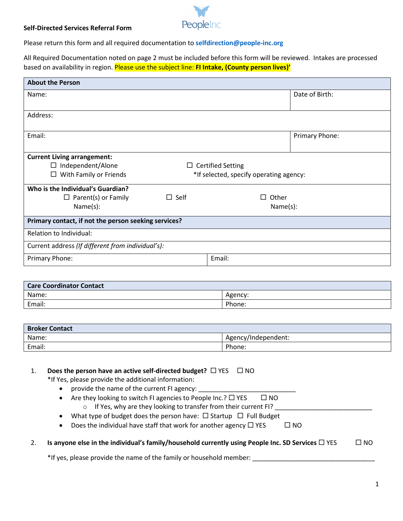

## **Self-Directed Services Referral Form**

Please return this form and all required documentation to **[selfdirection@people-inc.org](mailto:selfdirection@people-inc.org)**

All Required Documentation noted on page 2 must be included before this form will be reviewed. Intakes are processed based on availability in region. Please use the subject line: **FI Intake, (County person lives)'**

| <b>About the Person</b>                              |                                         |                |  |
|------------------------------------------------------|-----------------------------------------|----------------|--|
| Name:                                                |                                         | Date of Birth: |  |
|                                                      |                                         |                |  |
| Address:                                             |                                         |                |  |
|                                                      |                                         |                |  |
| Email:                                               |                                         | Primary Phone: |  |
|                                                      |                                         |                |  |
| <b>Current Living arrangement:</b>                   |                                         |                |  |
| $\Box$ Independent/Alone                             | $\Box$ Certified Setting                |                |  |
| With Family or Friends<br>$\Box$                     | *If selected, specify operating agency: |                |  |
| Who is the Individual's Guardian?                    |                                         |                |  |
| $\Box$ Parent(s) or Family                           | $\Box$ Self                             | Other<br>ΙI    |  |
| Name(s):                                             |                                         | Name(s):       |  |
| Primary contact, if not the person seeking services? |                                         |                |  |
|                                                      |                                         |                |  |
| Relation to Individual:                              |                                         |                |  |
| Current address (If different from individual's):    |                                         |                |  |
| Primary Phone:                                       |                                         | Email:         |  |
|                                                      |                                         |                |  |

| <b>Care Coordinator Contact</b> |         |  |
|---------------------------------|---------|--|
| Name:                           | Agency: |  |
| Email:                          | Phone:  |  |

| <b>Broker Contact</b> |                     |
|-----------------------|---------------------|
| Name:                 | Agency/Independent: |
| Email:                | Phone:              |

| 1. | Does the person have an active self-directed budget? $\Box$ YES $\Box$ NO |  |
|----|---------------------------------------------------------------------------|--|
|----|---------------------------------------------------------------------------|--|

\*If Yes, please provide the additional information:

- provide the name of the current FI agency:
- Are they looking to switch FI agencies to People Inc.?  $\Box$  YES  $\Box$  NO
	- $\circ$  If Yes, why are they looking to transfer from their current FI?
- What type of budget does the person have:  $\Box$  Startup  $\Box$  Full Budget

|  | Does the individual have staff that work for another agency $\Box$ YES | $\square$ NO |
|--|------------------------------------------------------------------------|--------------|
|--|------------------------------------------------------------------------|--------------|

2. **Is anyone else in the individual's family/household currently using People Inc. SD Services □ YES □ NO** 

\*If yes, please provide the name of the family or household member: